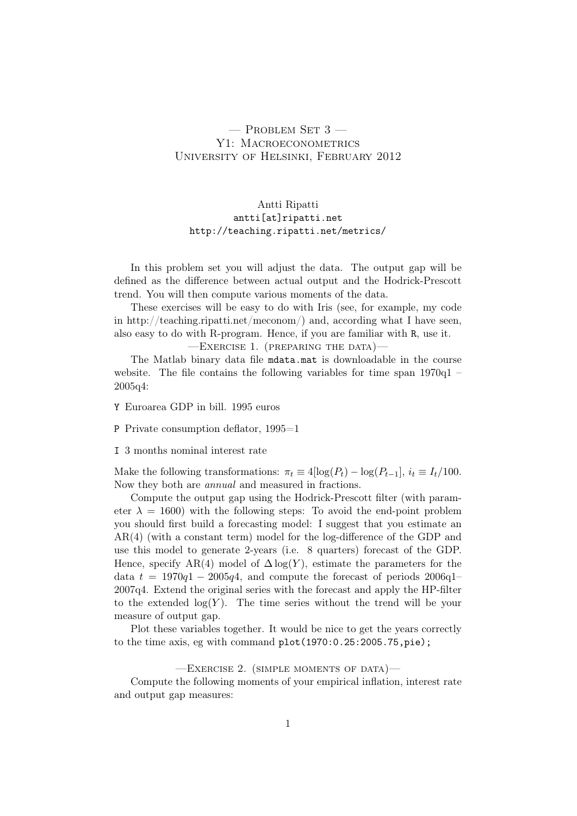# $-$  Problem Set 3  $-$ Y1: MACROECONOMETRICS University of Helsinki, February 2012

## Antti Ripatti antti[at]ripatti.net http://teaching.ripatti.net/metrics/

In this problem set you will adjust the data. The output gap will be defined as the difference between actual output and the Hodrick-Prescott trend. You will then compute various moments of the data.

These exercises will be easy to do with Iris (see, for example, my code in http://teaching.ripatti.net/meconom/) and, according what I have seen, also easy to do with R-program. Hence, if you are familiar with R, use it.

—Exercise 1. (preparing the data)—

The Matlab binary data file mdata.mat is downloadable in the course website. The file contains the following variables for time span 1970q1 – 2005q4:

Y Euroarea GDP in bill. 1995 euros

P Private consumption deflator, 1995=1

I 3 months nominal interest rate

Make the following transformations:  $\pi_t \equiv 4[\log(P_t) - \log(P_{t-1}], i_t \equiv I_t/100$ . Now they both are annual and measured in fractions.

Compute the output gap using the Hodrick-Prescott filter (with parameter  $\lambda = 1600$ ) with the following steps: To avoid the end-point problem you should first build a forecasting model: I suggest that you estimate an AR(4) (with a constant term) model for the log-difference of the GDP and use this model to generate 2-years (i.e. 8 quarters) forecast of the GDP. Hence, specify AR(4) model of  $\Delta \log(Y)$ , estimate the parameters for the data  $t = 1970q1 - 2005q4$ , and compute the forecast of periods 2006q1– 2007q4. Extend the original series with the forecast and apply the HP-filter to the extended  $log(Y)$ . The time series without the trend will be your measure of output gap.

Plot these variables together. It would be nice to get the years correctly to the time axis, eg with command plot(1970:0.25:2005.75,pie);

#### $-$ EXERCISE 2. (SIMPLE MOMENTS OF DATA) $-$

Compute the following moments of your empirical inflation, interest rate and output gap measures: